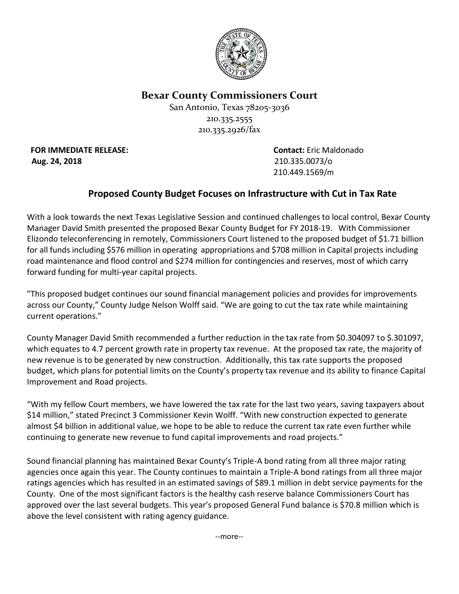

**Bexar County Commissioners Court**

San Antonio, Texas 78205-3036 210.335.2555 210.335.2926/fax

**FOR IMMEDIATE RELEASE: Contact:** Eric Maldonado **Aug. 24, 2018** 210.335.0073/o

210.449.1569/m

## **Proposed County Budget Focuses on Infrastructure with Cut in Tax Rate**

With a look towards the next Texas Legislative Session and continued challenges to local control, Bexar County Manager David Smith presented the proposed Bexar County Budget for FY 2018-19. With Commissioner Elizondo teleconferencing in remotely, Commissioners Court listened to the proposed budget of \$1.71 billion for all funds including \$576 million in operating appropriations and \$708 million in Capital projects including road maintenance and flood control and \$274 million for contingencies and reserves, most of which carry forward funding for multi-year capital projects.

"This proposed budget continues our sound financial management policies and provides for improvements across our County," County Judge Nelson Wolff said. "We are going to cut the tax rate while maintaining current operations."

County Manager David Smith recommended a further reduction in the tax rate from \$0.304097 to \$.301097, which equates to 4.7 percent growth rate in property tax revenue. At the proposed tax rate, the majority of new revenue is to be generated by new construction. Additionally, this tax rate supports the proposed budget, which plans for potential limits on the County's property tax revenue and its ability to finance Capital Improvement and Road projects.

"With my fellow Court members, we have lowered the tax rate for the last two years, saving taxpayers about \$14 million," stated Precinct 3 Commissioner Kevin Wolff. "With new construction expected to generate almost \$4 billion in additional value, we hope to be able to reduce the current tax rate even further while continuing to generate new revenue to fund capital improvements and road projects."

Sound financial planning has maintained Bexar County's Triple-A bond rating from all three major rating agencies once again this year. The County continues to maintain a Triple-A bond ratings from all three major ratings agencies which has resulted in an estimated savings of \$89.1 million in debt service payments for the County. One of the most significant factors is the healthy cash reserve balance Commissioners Court has approved over the last several budgets. This year's proposed General Fund balance is \$70.8 million which is above the level consistent with rating agency guidance.

--more--